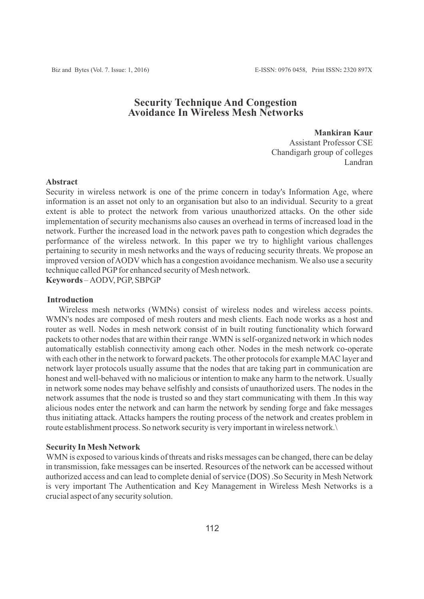# **Security Technique And Congestion Avoidance In Wireless Mesh Networks**

**Mankiran Kaur** Assistant Professor CSE Chandigarh group of colleges Landran

#### **Abstract**

Security in wireless network is one of the prime concern in today's Information Age, where information is an asset not only to an organisation but also to an individual. Security to a great extent is able to protect the network from various unauthorized attacks. On the other side implementation of security mechanisms also causes an overhead in terms of increased load in the network. Further the increased load in the network paves path to congestion which degrades the performance of the wireless network. In this paper we try to highlight various challenges pertaining to security in mesh networks and the ways of reducing security threats. We propose an improved version of AODV which has a congestion avoidance mechanism. We also use a security technique called PGP for enhanced security of Mesh network.

**Keywords** *–* AODV, PGP, SBPGP

## **Introduction**

Wireless mesh networks (WMNs) consist of wireless nodes and wireless access points. WMN's nodes are composed of mesh routers and mesh clients. Each node works as a host and router as well. Nodes in mesh network consist of in built routing functionality which forward packets to other nodes that are within their range .WMN is self-organized network in which nodes automatically establish connectivity among each other. Nodes in the mesh network co-operate with each other in the network to forward packets. The other protocols for example MAC layer and network layer protocols usually assume that the nodes that are taking part in communication are honest and well-behaved with no malicious or intention to make any harm to the network. Usually in network some nodes may behave selfishly and consists of unauthorized users. The nodes in the network assumes that the node is trusted so and they start communicating with them .In this way alicious nodes enter the network and can harm the network by sending forge and fake messages thus initiating attack. Attacks hampers the routing process of the network and creates problem in route establishment process. So network security is very important in wireless network.\

#### **Security In Mesh Network**

WMN is exposed to various kinds of threats and risks messages can be changed, there can be delay in transmission, fake messages can be inserted. Resources of the network can be accessed without authorized access and can lead to complete denial of service (DOS) .So Security in Mesh Network is very important The Authentication and Key Management in Wireless Mesh Networks is a crucial aspect of any security solution.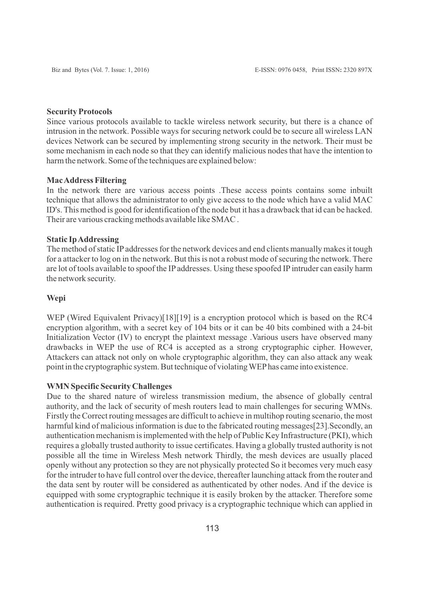#### **Security Protocols**

Since various protocols available to tackle wireless network security, but there is a chance of intrusion in the network. Possible ways for securing network could be to secure all wireless LAN devices Network can be secured by implementing strong security in the network. Their must be some mechanism in each node so that they can identify malicious nodes that have the intention to harm the network. Some of the techniques are explained below:

# **Mac Address Filtering**

In the network there are various access points .These access points contains some inbuilt technique that allows the administrator to only give access to the node which have a valid MAC ID's. This method is good for identification of the node but it has a drawback that id can be hacked. Their are various cracking methods available like SMAC .

### **Static Ip Addressing**

The method of static IPaddresses for the network devices and end clients manually makes it tough for a attacker to log on in the network. But this is not a robust mode of securing the network. There are lot of tools available to spoof the IP addresses. Using these spoofed IP intruder can easily harm the network security.

#### **Wepi**

WEP (Wired Equivalent Privacy)[18][19] is a encryption protocol which is based on the RC4 encryption algorithm, with a secret key of 104 bits or it can be 40 bits combined with a 24-bit Initialization Vector (IV) to encrypt the plaintext message .Various users have observed many drawbacks in WEP the use of RC4 is accepted as a strong cryptographic cipher. However, Attackers can attack not only on whole cryptographic algorithm, they can also attack any weak point in the cryptographic system. But technique of violating WEPhas came into existence.

#### **WMN Specific Security Challenges**

Due to the shared nature of wireless transmission medium, the absence of globally central authority, and the lack of security of mesh routers lead to main challenges for securing WMNs. Firstly the Correct routing messages are difficult to achieve in multihop routing scenario, the most harmful kind of malicious information is due to the fabricated routing messages[23].Secondly, an authentication mechanism is implemented with the help of Public Key Infrastructure (PKI), which requires a globally trusted authority to issue certificates. Having a globally trusted authority is not possible all the time in Wireless Mesh network Thirdly, the mesh devices are usually placed openly without any protection so they are not physically protected So it becomes very much easy for the intruder to have full control over the device, thereafter launching attack from the router and the data sent by router will be considered as authenticated by other nodes. And if the device is equipped with some cryptographic technique it is easily broken by the attacker. Therefore some authentication is required. Pretty good privacy is a cryptographic technique which can applied in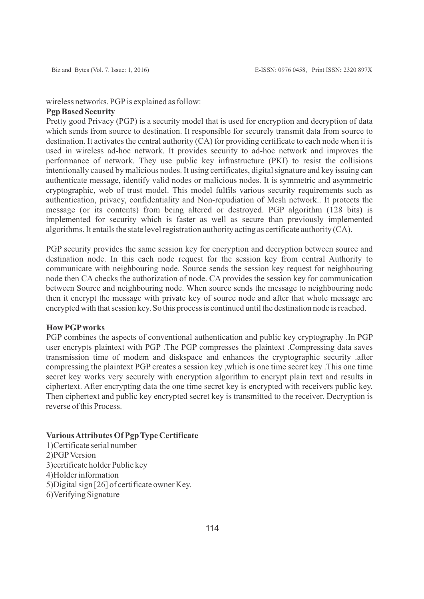# wireless networks. PGP is explained as follow:

# **Pgp Based Security**

Pretty good Privacy (PGP) is a security model that is used for encryption and decryption of data which sends from source to destination. It responsible for securely transmit data from source to destination. It activates the central authority (CA) for providing certificate to each node when it is used in wireless ad-hoc network. It provides security to ad-hoc network and improves the performance of network. They use public key infrastructure (PKI) to resist the collisions intentionally caused by malicious nodes. It using certificates, digital signature and key issuing can authenticate message, identify valid nodes or malicious nodes. It is symmetric and asymmetric cryptographic, web of trust model. This model fulfils various security requirements such as authentication, privacy, confidentiality and Non-repudiation of Mesh network.. It protects the message (or its contents) from being altered or destroyed. PGP algorithm (128 bits) is implemented for security which is faster as well as secure than previously implemented algorithms. It entails the state level registration authority acting as certificate authority (CA).

PGP security provides the same session key for encryption and decryption between source and destination node. In this each node request for the session key from central Authority to communicate with neighbouring node. Source sends the session key request for neighbouring node then CA checks the authorization of node. CA provides the session key for communication between Source and neighbouring node. When source sends the message to neighbouring node then it encrypt the message with private key of source node and after that whole message are encrypted with that session key. So this process is continued until the destination node is reached.

# **How PGPworks**

PGP combines the aspects of conventional authentication and public key cryptography .In PGP user encrypts plaintext with PGP .The PGP compresses the plaintext .Compressing data saves transmission time of modem and diskspace and enhances the cryptographic security .after compressing the plaintext PGP creates a session key ,which is one time secret key .This one time secret key works very securely with encryption algorithm to encrypt plain text and results in ciphertext. After encrypting data the one time secret key is encrypted with receivers public key. Then ciphertext and public key encrypted secret key is transmitted to the receiver. Decryption is reverse of this Process.

## **Various Attributes Of Pgp Type Certificate**

1)Certificate serial number 2)PGPVersion 3)certificate holder Public key 4)Holder information 5)Digital sign [26] of certificate owner Key. 6)Verifying Signature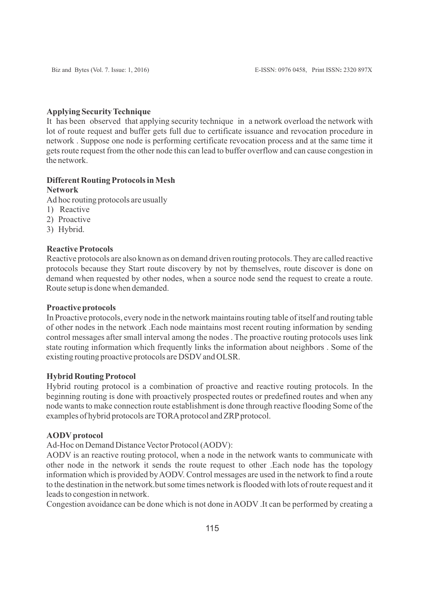# **Applying Security Technique**

It has been observed that applying security technique in a network overload the network with lot of route request and buffer gets full due to certificate issuance and revocation procedure in network . Suppose one node is performing certificate revocation process and at the same time it gets route request from the other node this can lead to buffer overflow and can cause congestion in the network.

# **Different Routing Protocols in Mesh Network**

Ad hoc routing protocols are usually

- 1) Reactive
- 2) Proactive
- 3) Hybrid.

# **Reactive Protocols**

Reactive protocols are also known as on demand driven routing protocols. They are called reactive protocols because they Start route discovery by not by themselves, route discover is done on demand when requested by other nodes, when a source node send the request to create a route. Route setup is done when demanded.

### **Proactive protocols**

In Proactive protocols, every node in the network maintains routing table of itself and routing table of other nodes in the network .Each node maintains most recent routing information by sending control messages after small interval among the nodes . The proactive routing protocols uses link state routing information which frequently links the information about neighbors . Some of the existing routing proactive protocols are DSDVand OLSR.

# **Hybrid Routing Protocol**

Hybrid routing protocol is a combination of proactive and reactive routing protocols. In the beginning routing is done with proactively prospected routes or predefined routes and when any node wants to make connection route establishment is done through reactive flooding Some of the examples of hybrid protocols are TORA protocol and ZRP protocol.

#### **AODVprotocol**

Ad-Hoc on Demand Distance Vector Protocol (AODV):

AODV is an reactive routing protocol, when a node in the network wants to communicate with other node in the network it sends the route request to other .Each node has the topology information which is provided by AODV. Control messages are used in the network to find a route to the destination in the network.but some times network is flooded with lots of route request and it leads to congestion in network.

Congestion avoidance can be done which is not done in AODV .It can be performed by creating a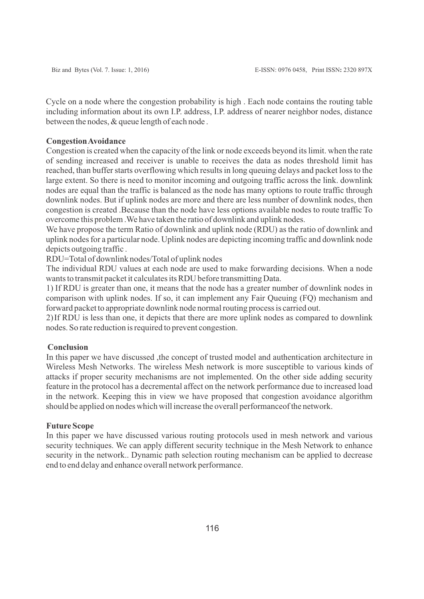Cycle on a node where the congestion probability is high . Each node contains the routing table including information about its own I.P. address, I.P. address of nearer neighbor nodes, distance between the nodes, & queue length of each node .

# **Congestion Avoidance**

Congestion is created when the capacity of the link or node exceeds beyond its limit. when the rate of sending increased and receiver is unable to receives the data as nodes threshold limit has reached, than buffer starts overflowing which results in long queuing delays and packet loss to the large extent. So there is need to monitor incoming and outgoing traffic across the link. downlink nodes are equal than the traffic is balanced as the node has many options to route traffic through downlink nodes. But if uplink nodes are more and there are less number of downlink nodes, then congestion is created .Because than the node have less options available nodes to route traffic To overcome this problem .We have taken the ratio of downlink and uplink nodes.

We have propose the term Ratio of downlink and uplink node (RDU) as the ratio of downlink and uplink nodes for a particular node. Uplink nodes are depicting incoming traffic and downlink node depicts outgoing traffic .

RDU=Total of downlink nodes/Total of uplink nodes

The individual RDU values at each node are used to make forwarding decisions. When a node wants to transmit packet it calculates its RDU before transmitting Data.

1) If RDU is greater than one, it means that the node has a greater number of downlink nodes in comparison with uplink nodes. If so, it can implement any Fair Queuing (FQ) mechanism and forward packet to appropriate downlink node normal routing process is carried out.

2) If RDU is less than one, it depicts that there are more uplink nodes as compared to downlink nodes. So rate reduction is required to prevent congestion.

### **Conclusion**

In this paper we have discussed, the concept of trusted model and authentication architecture in Wireless Mesh Networks. The wireless Mesh network is more susceptible to various kinds of attacks if proper security mechanisms are not implemented. On the other side adding security feature in the protocol has a decremental affect on the network performance due to increased load in the network. Keeping this in view we have proposed that congestion avoidance algorithm should be applied on nodes which will increase the overall performanceof the network.

### **Future Scope**

In this paper we have discussed various routing protocols used in mesh network and various security techniques. We can apply different security technique in the Mesh Network to enhance security in the network.. Dynamic path selection routing mechanism can be applied to decrease end to end delay and enhance overall network performance.